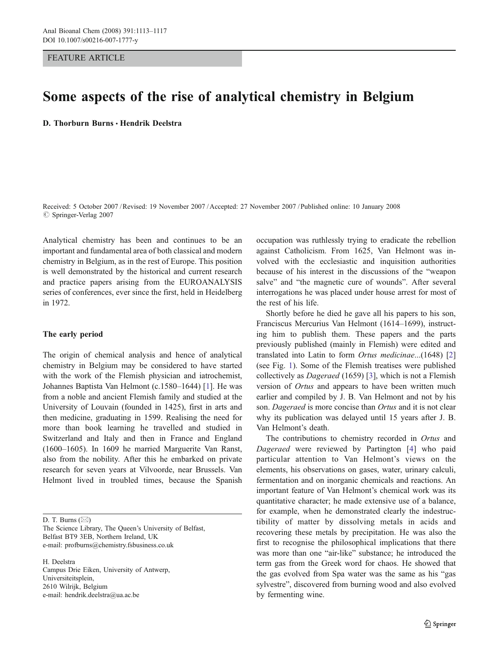FEATURE ARTICLE

# Some aspects of the rise of analytical chemistry in Belgium

D. Thorburn Burns · Hendrik Deelstra

Received: 5 October 2007 /Revised: 19 November 2007 /Accepted: 27 November 2007 / Published online: 10 January 2008  $\oslash$  Springer-Verlag 2007

Analytical chemistry has been and continues to be an important and fundamental area of both classical and modern chemistry in Belgium, as in the rest of Europe. This position is well demonstrated by the historical and current research and practice papers arising from the EUROANALYSIS series of conferences, ever since the first, held in Heidelberg in 1972.

## The early period

The origin of chemical analysis and hence of analytical chemistry in Belgium may be considered to have started with the work of the Flemish physician and iatrochemist, Johannes Baptista Van Helmont (c.1580–1644) [[1\]](#page-4-0). He was from a noble and ancient Flemish family and studied at the University of Louvain (founded in 1425), first in arts and then medicine, graduating in 1599. Realising the need for more than book learning he travelled and studied in Switzerland and Italy and then in France and England (1600–1605). In 1609 he married Marguerite Van Ranst, also from the nobility. After this he embarked on private research for seven years at Vilvoorde, near Brussels. Van Helmont lived in troubled times, because the Spanish

D. T. Burns (⊠)

The Science Library, The Queen's University of Belfast, Belfast BT9 3EB, Northern Ireland, UK e-mail: profburns@chemistry.fsbusiness.co.uk

H. Deelstra Campus Drie Eiken, University of Antwerp, Universiteitsplein, 2610 Wilrijk, Belgium e-mail: hendrik.deelstra@ua.ac.be

occupation was ruthlessly trying to eradicate the rebellion against Catholicism. From 1625, Van Helmont was involved with the ecclesiastic and inquisition authorities because of his interest in the discussions of the "weapon salve" and "the magnetic cure of wounds". After several interrogations he was placed under house arrest for most of the rest of his life.

Shortly before he died he gave all his papers to his son, Franciscus Mercurius Van Helmont (1614–1699), instructing him to publish them. These papers and the parts previously published (mainly in Flemish) were edited and translated into Latin to form Ortus medicinae...(1648) [\[2](#page-4-0)] (see Fig. [1\)](#page-1-0). Some of the Flemish treatises were published collectively as Dageraed (1659) [\[3](#page-4-0)], which is not a Flemish version of Ortus and appears to have been written much earlier and compiled by J. B. Van Helmont and not by his son. Dageraed is more concise than Ortus and it is not clear why its publication was delayed until 15 years after J. B. Van Helmont's death.

The contributions to chemistry recorded in Ortus and Dageraed were reviewed by Partington [[4\]](#page-4-0) who paid particular attention to Van Helmont's views on the elements, his observations on gases, water, urinary calculi, fermentation and on inorganic chemicals and reactions. An important feature of Van Helmont's chemical work was its quantitative character; he made extensive use of a balance, for example, when he demonstrated clearly the indestructibility of matter by dissolving metals in acids and recovering these metals by precipitation. He was also the first to recognise the philosophical implications that there was more than one "air-like" substance; he introduced the term gas from the Greek word for chaos. He showed that the gas evolved from Spa water was the same as his "gas sylvestre", discovered from burning wood and also evolved by fermenting wine.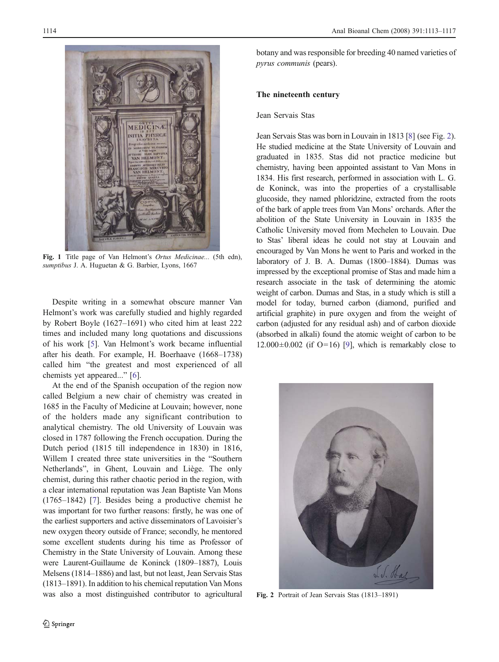<span id="page-1-0"></span>

Fig. 1 Title page of Van Helmont's Ortus Medicinae... (5th edn), sumptibus J. A. Huguetan & G. Barbier, Lyons, 1667

Despite writing in a somewhat obscure manner Van Helmont's work was carefully studied and highly regarded by Robert Boyle (1627–1691) who cited him at least 222 times and included many long quotations and discussions of his work [\[5](#page-4-0)]. Van Helmont's work became influential after his death. For example, H. Boerhaave (1668–1738) called him "the greatest and most experienced of all chemists yet appeared..." [\[6](#page-4-0)].

At the end of the Spanish occupation of the region now called Belgium a new chair of chemistry was created in 1685 in the Faculty of Medicine at Louvain; however, none of the holders made any significant contribution to analytical chemistry. The old University of Louvain was closed in 1787 following the French occupation. During the Dutch period (1815 till independence in 1830) in 1816, Willem I created three state universities in the "Southern Netherlands", in Ghent, Louvain and Liège. The only chemist, during this rather chaotic period in the region, with a clear international reputation was Jean Baptiste Van Mons (1765–1842) [\[7](#page-4-0)]. Besides being a productive chemist he was important for two further reasons: firstly, he was one of the earliest supporters and active disseminators of Lavoisier's new oxygen theory outside of France; secondly, he mentored some excellent students during his time as Professor of Chemistry in the State University of Louvain. Among these were Laurent-Guillaume de Koninck (1809–1887), Louis Melsens (1814–1886) and last, but not least, Jean Servais Stas (1813–1891). In addition to his chemical reputation Van Mons was also a most distinguished contributor to agricultural botany and was responsible for breeding 40 named varieties of pyrus communis (pears).

# The nineteenth century

# Jean Servais Stas

Jean Servais Stas was born in Louvain in 1813 [[8](#page-4-0)] (see Fig. 2). He studied medicine at the State University of Louvain and graduated in 1835. Stas did not practice medicine but chemistry, having been appointed assistant to Van Mons in 1834. His first research, performed in association with L. G. de Koninck, was into the properties of a crystallisable glucoside, they named phloridzine, extracted from the roots of the bark of apple trees from Van Mons' orchards. After the abolition of the State University in Louvain in 1835 the Catholic University moved from Mechelen to Louvain. Due to Stas' liberal ideas he could not stay at Louvain and encouraged by Van Mons he went to Paris and worked in the laboratory of J. B. A. Dumas (1800–1884). Dumas was impressed by the exceptional promise of Stas and made him a research associate in the task of determining the atomic weight of carbon. Dumas and Stas, in a study which is still a model for today, burned carbon (diamond, purified and artificial graphite) in pure oxygen and from the weight of carbon (adjusted for any residual ash) and of carbon dioxide (absorbed in alkali) found the atomic weight of carbon to be  $12.000\pm0.002$  (if O=16) [[9](#page-4-0)], which is remarkably close to



Fig. 2 Portrait of Jean Servais Stas (1813–1891)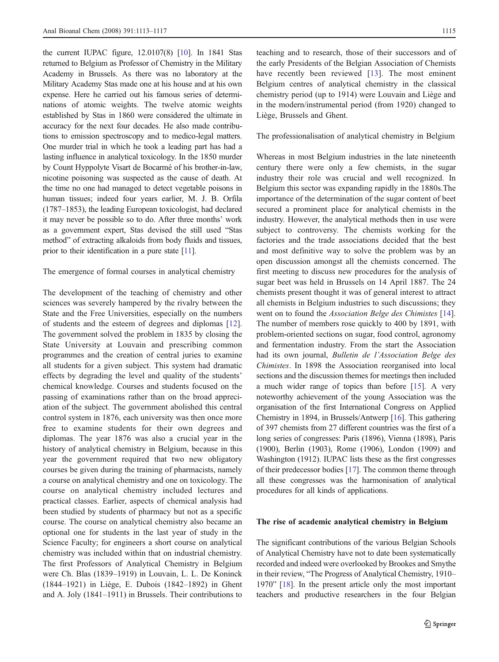the current IUPAC figure, 12.0107(8) [[10](#page-4-0)]. In 1841 Stas returned to Belgium as Professor of Chemistry in the Military Academy in Brussels. As there was no laboratory at the Military Academy Stas made one at his house and at his own expense. Here he carried out his famous series of determinations of atomic weights. The twelve atomic weights established by Stas in 1860 were considered the ultimate in accuracy for the next four decades. He also made contributions to emission spectroscopy and to medico-legal matters. One murder trial in which he took a leading part has had a lasting influence in analytical toxicology. In the 1850 murder by Count Hyppolyte Visart de Bocarmé of his brother-in-law, nicotine poisoning was suspected as the cause of death. At the time no one had managed to detect vegetable poisons in human tissues; indeed four years earlier, M. J. B. Orfila (1787–1853), the leading European toxicologist, had declared it may never be possible so to do. After three months' work as a government expert, Stas devised the still used "Stas method" of extracting alkaloids from body fluids and tissues, prior to their identification in a pure state [[11](#page-4-0)].

#### The emergence of formal courses in analytical chemistry

The development of the teaching of chemistry and other sciences was severely hampered by the rivalry between the State and the Free Universities, especially on the numbers of students and the esteem of degrees and diplomas [\[12](#page-4-0)]. The government solved the problem in 1835 by closing the State University at Louvain and prescribing common programmes and the creation of central juries to examine all students for a given subject. This system had dramatic effects by degrading the level and quality of the students' chemical knowledge. Courses and students focused on the passing of examinations rather than on the broad appreciation of the subject. The government abolished this central control system in 1876, each university was then once more free to examine students for their own degrees and diplomas. The year 1876 was also a crucial year in the history of analytical chemistry in Belgium, because in this year the government required that two new obligatory courses be given during the training of pharmacists, namely a course on analytical chemistry and one on toxicology. The course on analytical chemistry included lectures and practical classes. Earlier, aspects of chemical analysis had been studied by students of pharmacy but not as a specific course. The course on analytical chemistry also became an optional one for students in the last year of study in the Science Faculty; for engineers a short course on analytical chemistry was included within that on industrial chemistry. The first Professors of Analytical Chemistry in Belgium were Ch. Blas (1839–1919) in Louvain, L. L. De Koninck (1844–1921) in Liège, E. Dubois (1842–1892) in Ghent and A. Joly (1841–1911) in Brussels. Their contributions to

teaching and to research, those of their successors and of the early Presidents of the Belgian Association of Chemists have recently been reviewed [[13\]](#page-4-0). The most eminent Belgium centres of analytical chemistry in the classical chemistry period (up to 1914) were Louvain and Liège and in the modern/instrumental period (from 1920) changed to Liège, Brussels and Ghent.

## The professionalisation of analytical chemistry in Belgium

Whereas in most Belgium industries in the late nineteenth century there were only a few chemists, in the sugar industry their role was crucial and well recognized. In Belgium this sector was expanding rapidly in the 1880s.The importance of the determination of the sugar content of beet secured a prominent place for analytical chemists in the industry. However, the analytical methods then in use were subject to controversy. The chemists working for the factories and the trade associations decided that the best and most definitive way to solve the problem was by an open discussion amongst all the chemists concerned. The first meeting to discuss new procedures for the analysis of sugar beet was held in Brussels on 14 April 1887. The 24 chemists present thought it was of general interest to attract all chemists in Belgium industries to such discussions; they went on to found the Association Belge des Chimistes [[14\]](#page-4-0). The number of members rose quickly to 400 by 1891, with problem-oriented sections on sugar, food control, agronomy and fermentation industry. From the start the Association had its own journal, Bulletin de l'Association Belge des Chimistes. In 1898 the Association reorganised into local sections and the discussion themes for meetings then included a much wider range of topics than before [\[15](#page-4-0)]. A very noteworthy achievement of the young Association was the organisation of the first International Congress on Applied Chemistry in 1894, in Brussels/Antwerp [[16](#page-4-0)]. This gathering of 397 chemists from 27 different countries was the first of a long series of congresses: Paris (1896), Vienna (1898), Paris (1900), Berlin (1903), Rome (1906), London (1909) and Washington (1912). IUPAC lists these as the first congresses of their predecessor bodies [[17](#page-4-0)]. The common theme through all these congresses was the harmonisation of analytical procedures for all kinds of applications.

#### The rise of academic analytical chemistry in Belgium

The significant contributions of the various Belgian Schools of Analytical Chemistry have not to date been systematically recorded and indeed were overlooked by Brookes and Smythe in their review, "The Progress of Analytical Chemistry, 1910– 1970" [\[18\]](#page-4-0). In the present article only the most important teachers and productive researchers in the four Belgian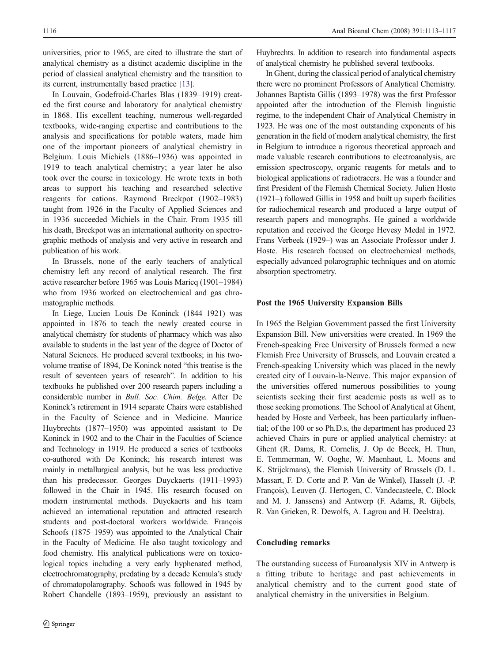universities, prior to 1965, are cited to illustrate the start of analytical chemistry as a distinct academic discipline in the period of classical analytical chemistry and the transition to its current, instrumentally based practice [\[13\]](#page-4-0).

In Louvain, Godefroid-Charles Blas (1839–1919) created the first course and laboratory for analytical chemistry in 1868. His excellent teaching, numerous well-regarded textbooks, wide-ranging expertise and contributions to the analysis and specifications for potable waters, made him one of the important pioneers of analytical chemistry in Belgium. Louis Michiels (1886–1936) was appointed in 1919 to teach analytical chemistry; a year later he also took over the course in toxicology. He wrote texts in both areas to support his teaching and researched selective reagents for cations. Raymond Breckpot (1902–1983) taught from 1926 in the Faculty of Applied Sciences and in 1936 succeeded Michiels in the Chair. From 1935 till his death, Breckpot was an international authority on spectrographic methods of analysis and very active in research and publication of his work.

In Brussels, none of the early teachers of analytical chemistry left any record of analytical research. The first active researcher before 1965 was Louis Maricq (1901–1984) who from 1936 worked on electrochemical and gas chromatographic methods.

In Liege, Lucien Louis De Koninck (1844–1921) was appointed in 1876 to teach the newly created course in analytical chemistry for students of pharmacy which was also available to students in the last year of the degree of Doctor of Natural Sciences. He produced several textbooks; in his twovolume treatise of 1894, De Koninck noted "this treatise is the result of seventeen years of research". In addition to his textbooks he published over 200 research papers including a considerable number in Bull. Soc. Chim. Belge. After De Koninck's retirement in 1914 separate Chairs were established in the Faculty of Science and in Medicine. Maurice Huybrechts (1877–1950) was appointed assistant to De Koninck in 1902 and to the Chair in the Faculties of Science and Technology in 1919. He produced a series of textbooks co-authored with De Koninck; his research interest was mainly in metallurgical analysis, but he was less productive than his predecessor. Georges Duyckaerts (1911–1993) followed in the Chair in 1945. His research focused on modern instrumental methods. Duyckaerts and his team achieved an international reputation and attracted research students and post-doctoral workers worldwide. François Schoofs (1875–1959) was appointed to the Analytical Chair in the Faculty of Medicine. He also taught toxicology and food chemistry. His analytical publications were on toxicological topics including a very early hyphenated method, electrochromatography, predating by a decade Kemula's study of chromatopolarography. Schoofs was followed in 1945 by Robert Chandelle (1893–1959), previously an assistant to

Huybrechts. In addition to research into fundamental aspects of analytical chemistry he published several textbooks.

In Ghent, during the classical period of analytical chemistry there were no prominent Professors of Analytical Chemistry. Johannes Baptista Gillis (1893–1978) was the first Professor appointed after the introduction of the Flemish linguistic regime, to the independent Chair of Analytical Chemistry in 1923. He was one of the most outstanding exponents of his generation in the field of modern analytical chemistry, the first in Belgium to introduce a rigorous theoretical approach and made valuable research contributions to electroanalysis, arc emission spectroscopy, organic reagents for metals and to biological applications of radiotracers. He was a founder and first President of the Flemish Chemical Society. Julien Hoste (1921–) followed Gillis in 1958 and built up superb facilities for radiochemical research and produced a large output of research papers and monographs. He gained a worldwide reputation and received the George Hevesy Medal in 1972. Frans Verbeek (1929–) was an Associate Professor under J. Hoste. His research focused on electrochemical methods, especially advanced polarographic techniques and on atomic absorption spectrometry.

#### Post the 1965 University Expansion Bills

In 1965 the Belgian Government passed the first University Expansion Bill. New universities were created. In 1969 the French-speaking Free University of Brussels formed a new Flemish Free University of Brussels, and Louvain created a French-speaking University which was placed in the newly created city of Louvain-la-Neuve. This major expansion of the universities offered numerous possibilities to young scientists seeking their first academic posts as well as to those seeking promotions. The School of Analytical at Ghent, headed by Hoste and Verbeek, has been particularly influential; of the 100 or so Ph.D.s, the department has produced 23 achieved Chairs in pure or applied analytical chemistry: at Ghent (R. Dams, R. Cornelis, J. Op de Beeck, H. Thun, E. Temmerman, W. Ooghe, W. Maenhaut, L. Moens and K. Strijckmans), the Flemish University of Brussels (D. L. Massart, F. D. Corte and P. Van de Winkel), Hasselt (J. -P. François), Leuven (J. Hertogen, C. Vandecasteele, C. Block and M. J. Janssens) and Antwerp (F. Adams, R. Gijbels, R. Van Grieken, R. Dewolfs, A. Lagrou and H. Deelstra).

### Concluding remarks

The outstanding success of Euroanalysis XIV in Antwerp is a fitting tribute to heritage and past achievements in analytical chemistry and to the current good state of analytical chemistry in the universities in Belgium.